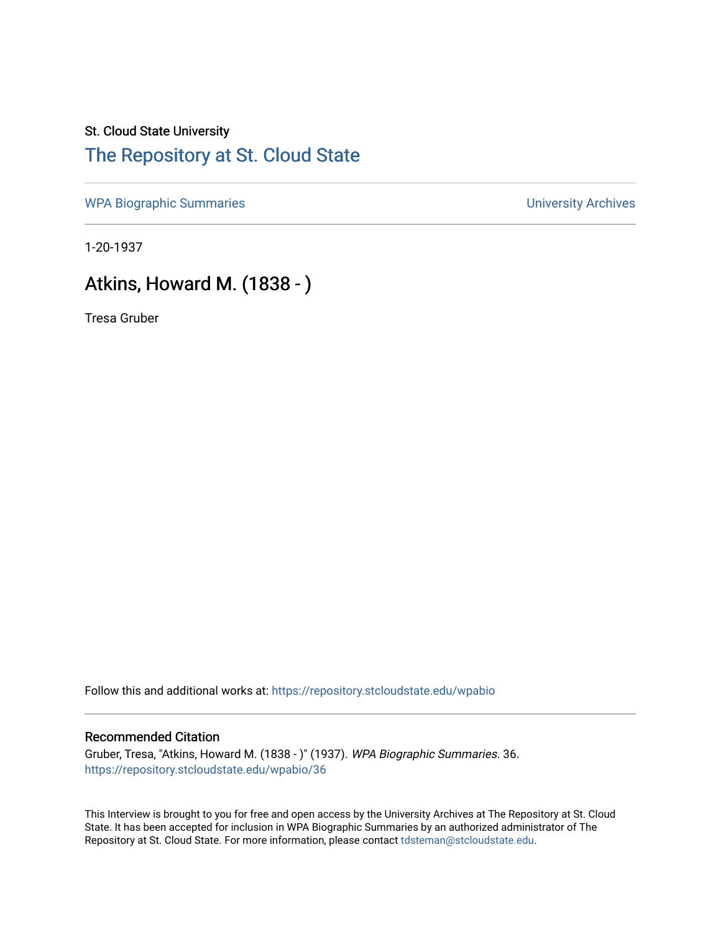## St. Cloud State University [The Repository at St. Cloud State](https://repository.stcloudstate.edu/)

[WPA Biographic Summaries](https://repository.stcloudstate.edu/wpabio) **WPA Biographic Summaries University Archives** 

1-20-1937

# Atkins, Howard M. (1838 - )

Tresa Gruber

Follow this and additional works at: [https://repository.stcloudstate.edu/wpabio](https://repository.stcloudstate.edu/wpabio?utm_source=repository.stcloudstate.edu%2Fwpabio%2F36&utm_medium=PDF&utm_campaign=PDFCoverPages) 

#### Recommended Citation

Gruber, Tresa, "Atkins, Howard M. (1838 - )" (1937). WPA Biographic Summaries. 36. [https://repository.stcloudstate.edu/wpabio/36](https://repository.stcloudstate.edu/wpabio/36?utm_source=repository.stcloudstate.edu%2Fwpabio%2F36&utm_medium=PDF&utm_campaign=PDFCoverPages)

This Interview is brought to you for free and open access by the University Archives at The Repository at St. Cloud State. It has been accepted for inclusion in WPA Biographic Summaries by an authorized administrator of The Repository at St. Cloud State. For more information, please contact [tdsteman@stcloudstate.edu.](mailto:tdsteman@stcloudstate.edu)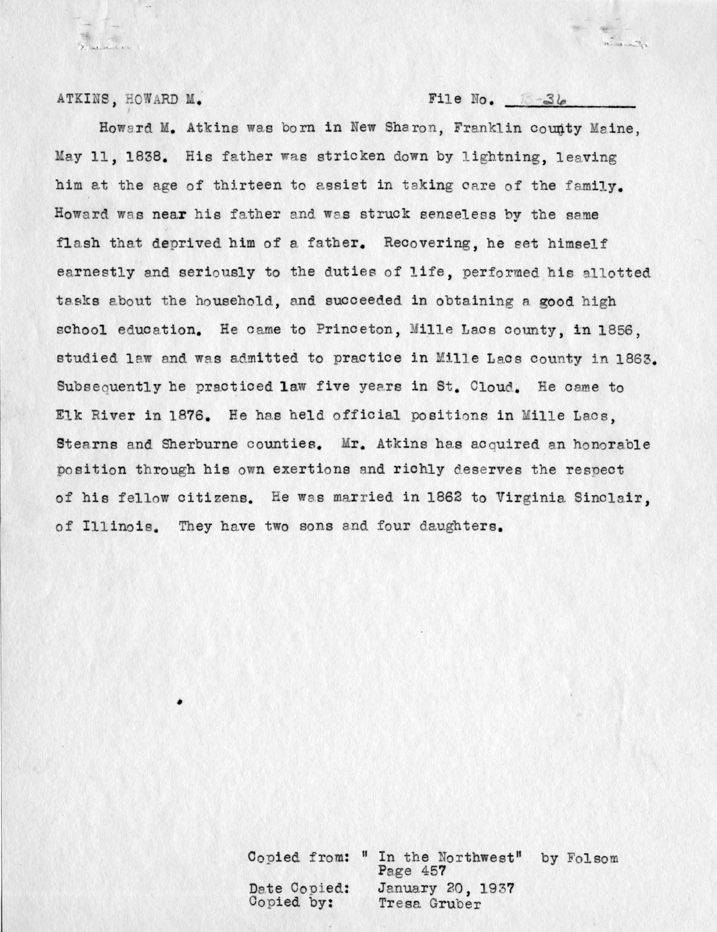ATKINS, HOWARD M. File No. **File No. 84** 

**CALLACTER** 

Howard M. Atkins was born in New Sharon, Franklin county Maine, May 11, 1838. His father was stricken down by lightning, leaving him at the age of thirteen to assist in taking care of the family. Howard was near his father and was struck senseless by the same flash that deprived him of a father. Recovering, he set himself earnestly and seriously to the duties of life, performed his allotted tasks about the household, and succeeded in obtaining a good high school education. He came to Princeton, Mille Lacs county, in 1856, studied law and was admitted to practice in Mille Lacs county in 1863. Subsequently he practiced law five years in St. Cloud. He came to Elk River in 1876. He has held official positions in Mille Lacs. Stearns and Sherburne counties. Mr. Atkins has acquired an honorable position through his own exertions and richly deserves the respect of his fellow citizens. He was married in 1862 to Virginia Sinclair. of Illinois. They have two sons and four daughters.

> Copied from: " In the Northwest" by Folsom Date Copied: Copied by: Page 457 January 20, 1937 Tresa Gruber